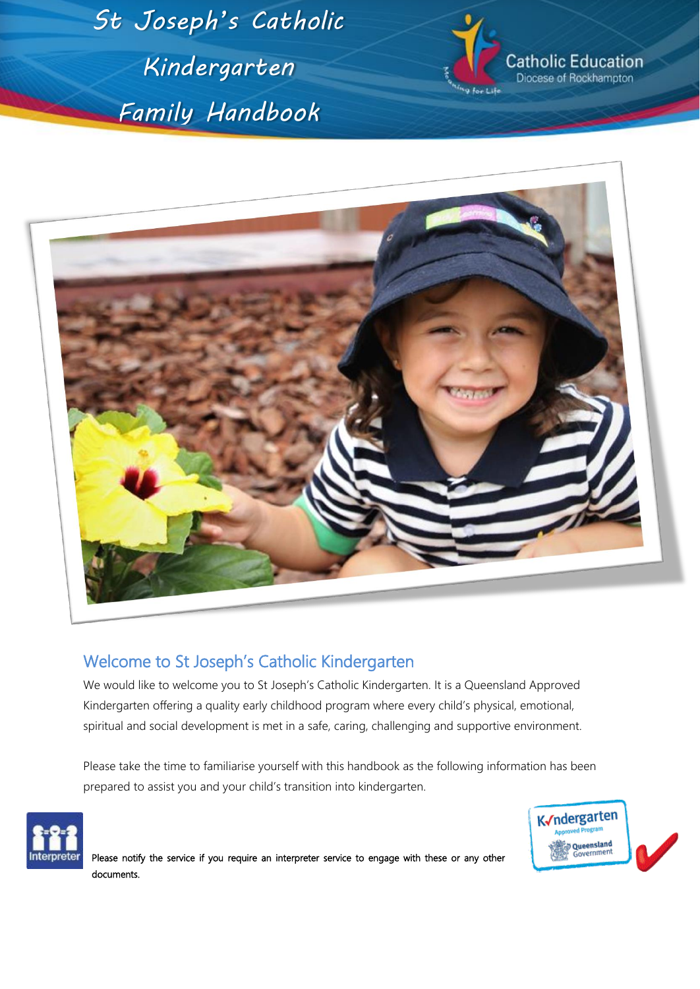*St Joseph's Catholic Kindergarten Family Handbook*



atholic Education Diocese of Rockhampton



# Welcome to St Joseph's Catholic Kindergarten

We would like to welcome you to St Joseph's Catholic Kindergarten. It is a Queensland Approved Kindergarten offering a quality early childhood program where every child's physical, emotional, spiritual and social development is met in a safe, caring, challenging and supportive environment.

Please take the time to familiarise yourself with this handbook as the following information has been prepared to assist you and your child's transition into kindergarten.





Please notify the service if you require an interpreter service to engage with these or any other documents.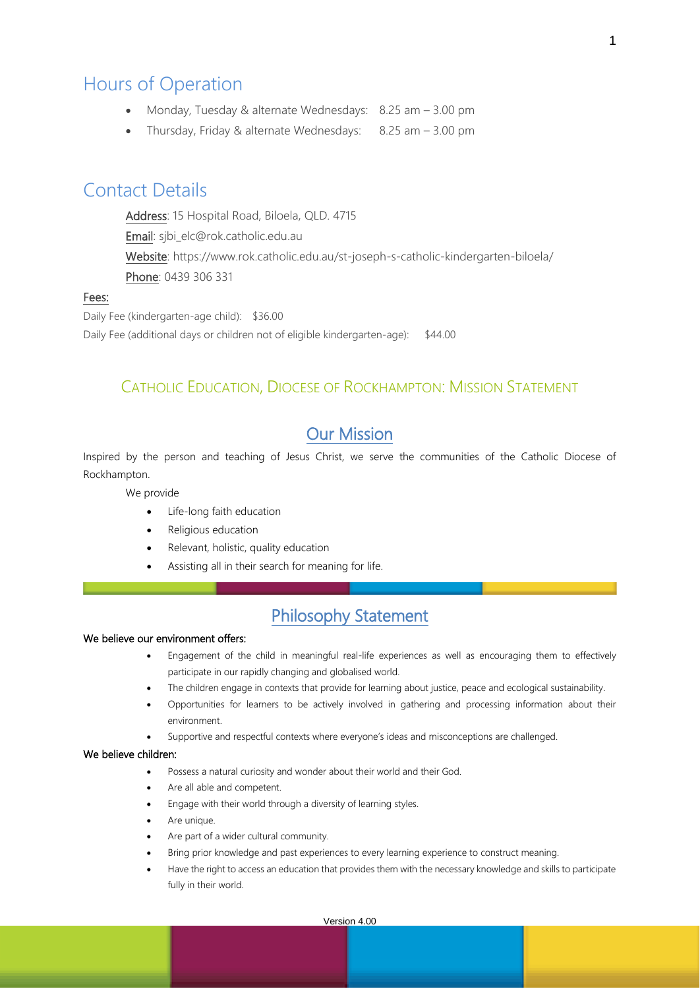# Hours of Operation

- Monday, Tuesday & alternate Wednesdays: 8.25 am 3.00 pm
- Thursday, Friday & alternate Wednesdays: 8.25 am 3.00 pm

# Contact Details

Address: 15 Hospital Road, Biloela, QLD. 4715 Email: sjbi\_elc@rok.catholic.edu.au Website: https://www.rok.catholic.edu.au/st-joseph-s-catholic-kindergarten-biloela/ Phone: 0439 306 331

## Fees:

Daily Fee (kindergarten-age child): \$36.00 Daily Fee (additional days or children not of eligible kindergarten-age): \$44.00

## CATHOLIC EDUCATION, DIOCESE OF ROCKHAMPTON: MISSION STATEMENT

# Our Mission

Inspired by the person and teaching of Jesus Christ, we serve the communities of the Catholic Diocese of Rockhampton.

We provide

- Life-long faith education
- Religious education
- Relevant, holistic, quality education
- Assisting all in their search for meaning for life.

# Philosophy Statement

## We believe our environment offers:

- Engagement of the child in meaningful real-life experiences as well as encouraging them to effectively participate in our rapidly changing and globalised world.
- The children engage in contexts that provide for learning about justice, peace and ecological sustainability.
- Opportunities for learners to be actively involved in gathering and processing information about their environment.
- Supportive and respectful contexts where everyone's ideas and misconceptions are challenged.

#### We believe children:

- Possess a natural curiosity and wonder about their world and their God.
- Are all able and competent.
- Engage with their world through a diversity of learning styles.
- Are unique.
- Are part of a wider cultural community.
- Bring prior knowledge and past experiences to every learning experience to construct meaning.
- Have the right to access an education that provides them with the necessary knowledge and skills to participate fully in their world.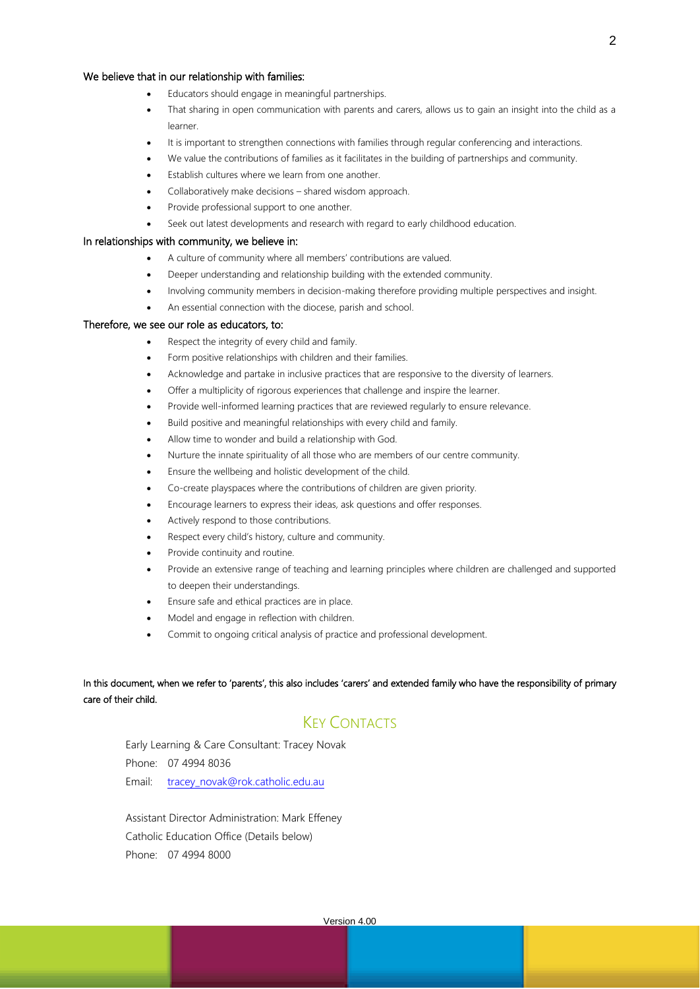#### We believe that in our relationship with families:

- Educators should engage in meaningful partnerships.
- That sharing in open communication with parents and carers, allows us to gain an insight into the child as a learner.
- It is important to strengthen connections with families through regular conferencing and interactions.
- We value the contributions of families as it facilitates in the building of partnerships and community.
- Establish cultures where we learn from one another.
- Collaboratively make decisions shared wisdom approach.
- Provide professional support to one another.
- Seek out latest developments and research with regard to early childhood education.

#### In relationships with community, we believe in:

- A culture of community where all members' contributions are valued.
- Deeper understanding and relationship building with the extended community.
- Involving community members in decision-making therefore providing multiple perspectives and insight.
- An essential connection with the diocese, parish and school.

#### Therefore, we see our role as educators, to:

- Respect the integrity of every child and family.
- Form positive relationships with children and their families.
- Acknowledge and partake in inclusive practices that are responsive to the diversity of learners.
- Offer a multiplicity of rigorous experiences that challenge and inspire the learner.
- Provide well-informed learning practices that are reviewed regularly to ensure relevance.
- Build positive and meaningful relationships with every child and family.
- Allow time to wonder and build a relationship with God.
- Nurture the innate spirituality of all those who are members of our centre community.
- Ensure the wellbeing and holistic development of the child.
- Co-create playspaces where the contributions of children are given priority.
- Encourage learners to express their ideas, ask questions and offer responses.
- Actively respond to those contributions.
- Respect every child's history, culture and community.
- Provide continuity and routine.
- Provide an extensive range of teaching and learning principles where children are challenged and supported to deepen their understandings.
- Ensure safe and ethical practices are in place.
- Model and engage in reflection with children.
- Commit to ongoing critical analysis of practice and professional development.

In this document, when we refer to 'parents', this also includes 'carers' and extended family who have the responsibility of primary care of their child.

## KEY CONTACTS

Early Learning & Care Consultant: Tracey Novak Phone: 07 4994 8036 Email: [tracey\\_novak@rok.catholic.edu.au](mailto:tracey_novak@rok.catholic.edu.au)

Assistant Director Administration: Mark Effeney Catholic Education Office (Details below) Phone: 07 4994 8000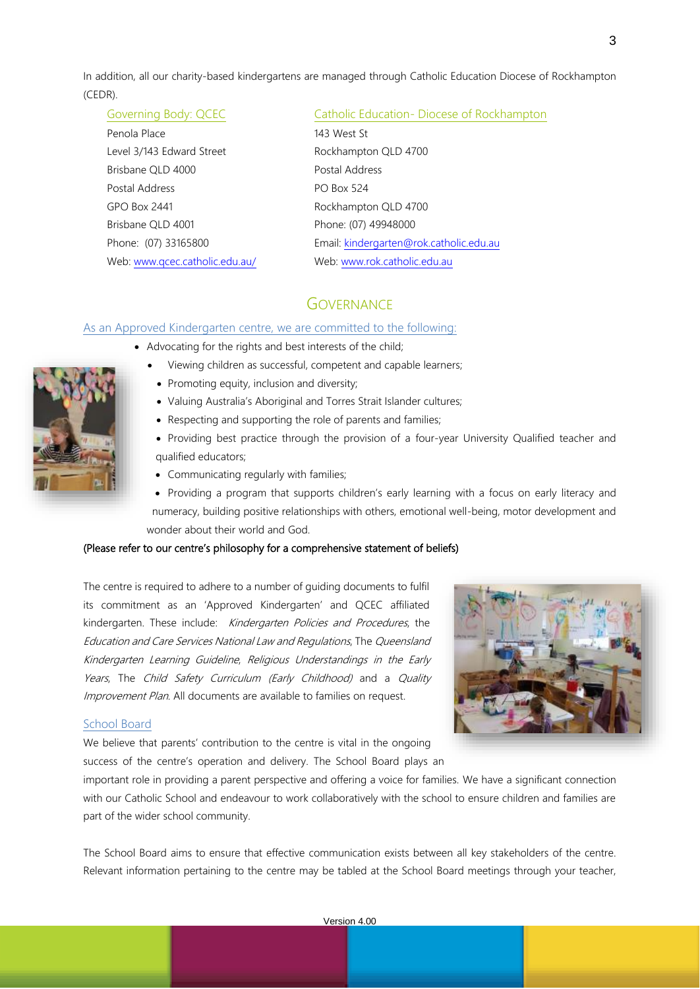In addition, all our charity-based kindergartens are managed through Catholic Education Diocese of Rockhampton (CEDR).

## Governing Body: QCEC Catholic Education- Diocese of Rockhampton

| Penola Place                   | 143 West St                             |
|--------------------------------|-----------------------------------------|
| Level 3/143 Edward Street      | Rockhampton QLD 4700                    |
| Brisbane QLD 4000              | Postal Address                          |
| Postal Address                 | <b>PO Box 524</b>                       |
| <b>GPO Box 2441</b>            | Rockhampton QLD 4700                    |
| Brisbane QLD 4001              | Phone: (07) 49948000                    |
| Phone: (07) 33165800           | Email: kindergarten@rok.catholic.edu.au |
| Web: www.gcec.catholic.edu.au/ | Web: www.rok.catholic.edu.au            |

## **GOVERNANCE**

#### As an Approved Kindergarten centre, we are committed to the following:

- Advocating for the rights and best interests of the child;
	- Viewing children as successful, competent and capable learners;
	- Promoting equity, inclusion and diversity;
	- Valuing Australia's Aboriginal and Torres Strait Islander cultures;
	- Respecting and supporting the role of parents and families;
	- Providing best practice through the provision of a four-year University Qualified teacher and qualified educators;
	- Communicating regularly with families;
	- Providing a program that supports children's early learning with a focus on early literacy and numeracy, building positive relationships with others, emotional well-being, motor development and wonder about their world and God.

### (Please refer to our centre's philosophy for a comprehensive statement of beliefs)

The centre is required to adhere to a number of guiding documents to fulfil its commitment as an 'Approved Kindergarten' and QCEC affiliated kindergarten. These include: Kindergarten Policies and Procedures, the Education and Care Services National Law and Regulations, The Queensland Kindergarten Learning Guideline, Religious Understandings in the Early Years, The Child Safety Curriculum (Early Childhood) and a Quality Improvement Plan. All documents are available to families on request.

#### School Board

We believe that parents' contribution to the centre is vital in the ongoing success of the centre's operation and delivery. The School Board plays an



important role in providing a parent perspective and offering a voice for families. We have a significant connection with our Catholic School and endeavour to work collaboratively with the school to ensure children and families are part of the wider school community.

The School Board aims to ensure that effective communication exists between all key stakeholders of the centre. Relevant information pertaining to the centre may be tabled at the School Board meetings through your teacher,

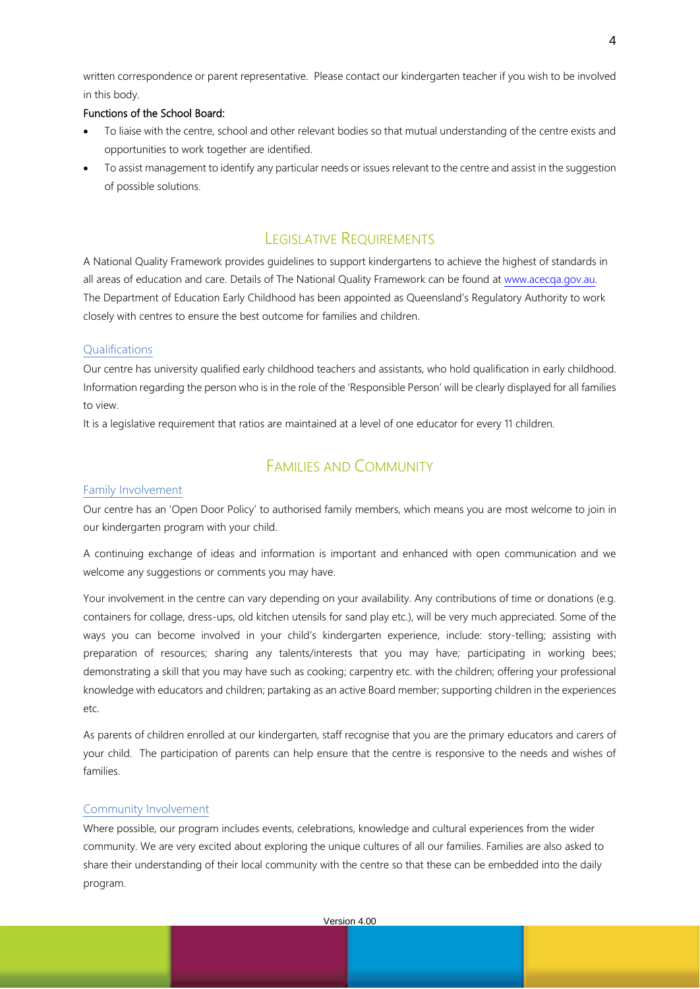written correspondence or parent representative. Please contact our kindergarten teacher if you wish to be involved in this body.

## Functions of the School Board:

- To liaise with the centre, school and other relevant bodies so that mutual understanding of the centre exists and opportunities to work together are identified.
- To assist management to identify any particular needs or issues relevant to the centre and assist in the suggestion of possible solutions.

## LEGISLATIVE REQUIREMENTS

A National Quality Framework provides guidelines to support kindergartens to achieve the highest of standards in all areas of education and care. Details of The National Quality Framework can be found at [www.acecqa.gov.au.](http://www.acecqa.gov.au/)  The Department of Education Early Childhood has been appointed as Queensland's Regulatory Authority to work closely with centres to ensure the best outcome for families and children.

#### Qualifications

Our centre has university qualified early childhood teachers and assistants, who hold qualification in early childhood. Information regarding the person who is in the role of the 'Responsible Person' will be clearly displayed for all families to view.

It is a legislative requirement that ratios are maintained at a level of one educator for every 11 children.

## FAMILIES AND COMMUNITY

#### Family Involvement

Our centre has an 'Open Door Policy' to authorised family members, which means you are most welcome to join in our kindergarten program with your child.

A continuing exchange of ideas and information is important and enhanced with open communication and we welcome any suggestions or comments you may have.

Your involvement in the centre can vary depending on your availability. Any contributions of time or donations (e.g. containers for collage, dress-ups, old kitchen utensils for sand play etc.), will be very much appreciated. Some of the ways you can become involved in your child's kindergarten experience, include: story-telling; assisting with preparation of resources; sharing any talents/interests that you may have; participating in working bees; demonstrating a skill that you may have such as cooking; carpentry etc. with the children; offering your professional knowledge with educators and children; partaking as an active Board member; supporting children in the experiences etc.

As parents of children enrolled at our kindergarten, staff recognise that you are the primary educators and carers of your child. The participation of parents can help ensure that the centre is responsive to the needs and wishes of families.

### Community Involvement

Where possible, our program includes events, celebrations, knowledge and cultural experiences from the wider community. We are very excited about exploring the unique cultures of all our families. Families are also asked to share their understanding of their local community with the centre so that these can be embedded into the daily program.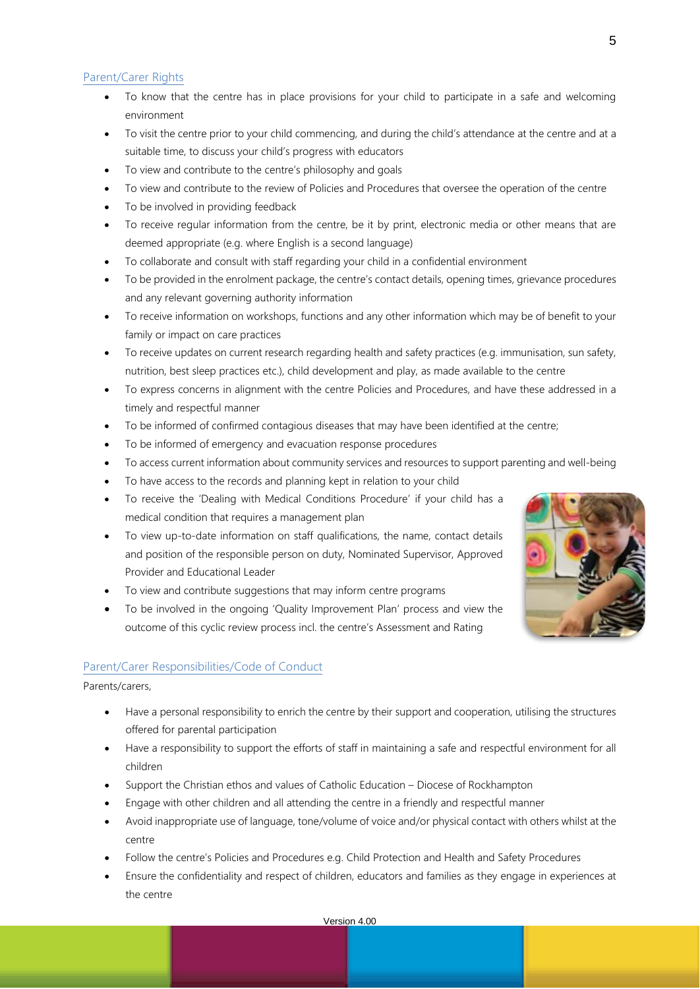### Parent/Carer Rights

- To know that the centre has in place provisions for your child to participate in a safe and welcoming environment
- To visit the centre prior to your child commencing, and during the child's attendance at the centre and at a suitable time, to discuss your child's progress with educators
- To view and contribute to the centre's philosophy and goals
- To view and contribute to the review of Policies and Procedures that oversee the operation of the centre
- To be involved in providing feedback
- To receive regular information from the centre, be it by print, electronic media or other means that are deemed appropriate (e.g. where English is a second language)
- To collaborate and consult with staff regarding your child in a confidential environment
- To be provided in the enrolment package, the centre's contact details, opening times, grievance procedures and any relevant governing authority information
- To receive information on workshops, functions and any other information which may be of benefit to your family or impact on care practices
- To receive updates on current research regarding health and safety practices (e.g. immunisation, sun safety, nutrition, best sleep practices etc.), child development and play, as made available to the centre
- To express concerns in alignment with the centre Policies and Procedures, and have these addressed in a timely and respectful manner
- To be informed of confirmed contagious diseases that may have been identified at the centre;
- To be informed of emergency and evacuation response procedures
- To access current information about community services and resources to support parenting and well-being
- To have access to the records and planning kept in relation to your child
- To receive the 'Dealing with Medical Conditions Procedure' if your child has a medical condition that requires a management plan
- To view up-to-date information on staff qualifications, the name, contact details and position of the responsible person on duty, Nominated Supervisor, Approved Provider and Educational Leader
- To view and contribute suggestions that may inform centre programs
- To be involved in the ongoing 'Quality Improvement Plan' process and view the outcome of this cyclic review process incl. the centre's Assessment and Rating



### Parent/Carer Responsibilities/Code of Conduct

Parents/carers,

- Have a personal responsibility to enrich the centre by their support and cooperation, utilising the structures offered for parental participation
- Have a responsibility to support the efforts of staff in maintaining a safe and respectful environment for all children
- Support the Christian ethos and values of Catholic Education Diocese of Rockhampton
- Engage with other children and all attending the centre in a friendly and respectful manner
- Avoid inappropriate use of language, tone/volume of voice and/or physical contact with others whilst at the centre
- Follow the centre's Policies and Procedures e.g. Child Protection and Health and Safety Procedures
- Ensure the confidentiality and respect of children, educators and families as they engage in experiences at the centre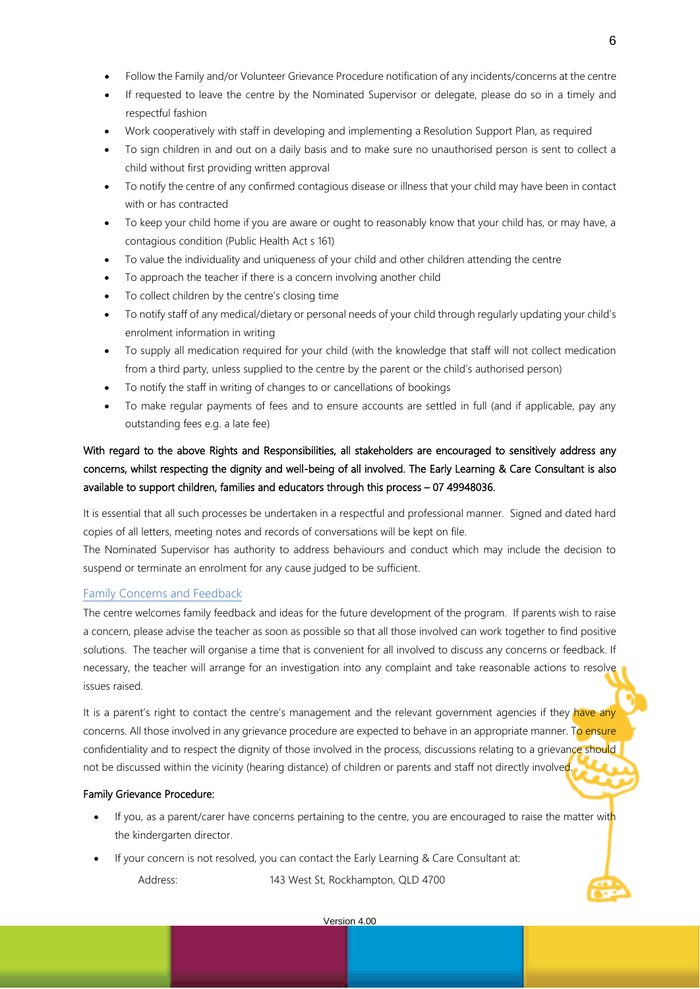- Follow the Family and/or Volunteer Grievance Procedure notification of any incidents/concerns at the centre
- If requested to leave the centre by the Nominated Supervisor or delegate, please do so in a timely and respectful fashion
- Work cooperatively with staff in developing and implementing a Resolution Support Plan, as required
- To sign children in and out on a daily basis and to make sure no unauthorised person is sent to collect a child without first providing written approval
- To notify the centre of any confirmed contagious disease or illness that your child may have been in contact with or has contracted
- To keep your child home if you are aware or ought to reasonably know that your child has, or may have, a contagious condition (Public Health Act s 161)
- To value the individuality and uniqueness of your child and other children attending the centre
- To approach the teacher if there is a concern involving another child
- To collect children by the centre's closing time
- To notify staff of any medical/dietary or personal needs of your child through regularly updating your child's enrolment information in writing
- To supply all medication required for your child (with the knowledge that staff will not collect medication from a third party, unless supplied to the centre by the parent or the child's authorised person)
- To notify the staff in writing of changes to or cancellations of bookings
- To make regular payments of fees and to ensure accounts are settled in full (and if applicable, pay any outstanding fees e.g. a late fee)

## With regard to the above Rights and Responsibilities, all stakeholders are encouraged to sensitively address any concerns, whilst respecting the dignity and well-being of all involved. The Early Learning & Care Consultant is also available to support children, families and educators through this process – 07 49948036.

It is essential that all such processes be undertaken in a respectful and professional manner. Signed and dated hard copies of all letters, meeting notes and records of conversations will be kept on file.

The Nominated Supervisor has authority to address behaviours and conduct which may include the decision to suspend or terminate an enrolment for any cause judged to be sufficient.

### Family Concerns and Feedback

The centre welcomes family feedback and ideas for the future development of the program. If parents wish to raise a concern, please advise the teacher as soon as possible so that all those involved can work together to find positive solutions. The teacher will organise a time that is convenient for all involved to discuss any concerns or feedback. If necessary, the teacher will arrange for an investigation into any complaint and take reasonable actions to resolve issues raised.

It is a parent's right to contact the centre's management and the relevant government agencies if they have any concerns. All those involved in any grievance procedure are expected to behave in an appropriate manner. To ensure confidentiality and to respect the dignity of those involved in the process, discussions relating to a grievance should not be discussed within the vicinity (hearing distance) of children or parents and staff not directly involved.

#### Family Grievance Procedure:

- If you, as a parent/carer have concerns pertaining to the centre, you are encouraged to raise the matter with the kindergarten director.
- If your concern is not resolved, you can contact the Early Learning & Care Consultant at:

Address: 143 West St, Rockhampton, QLD 4700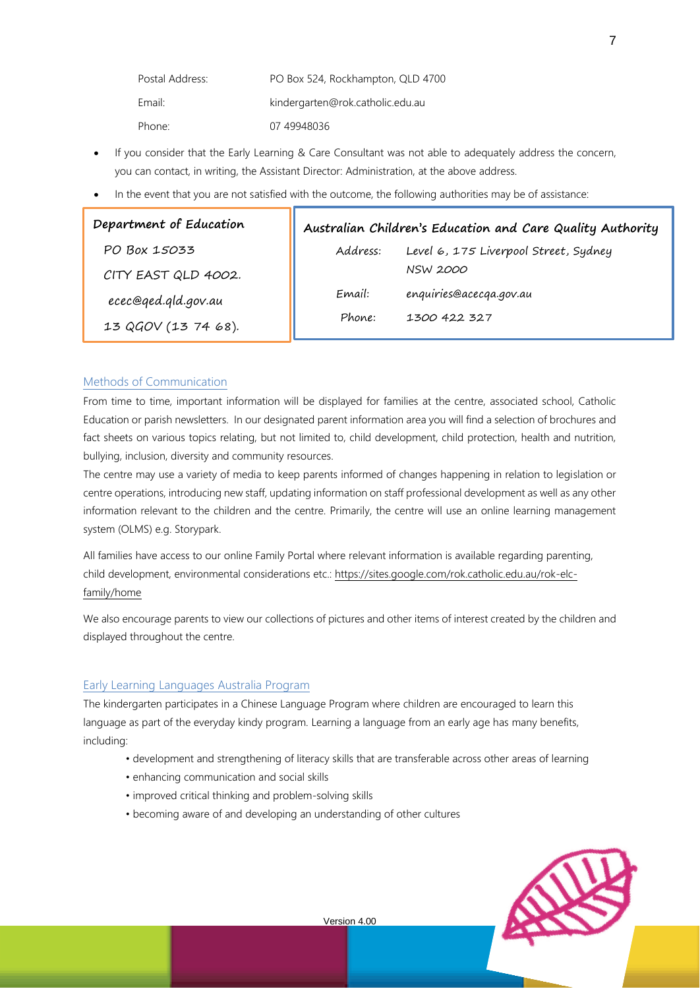| Postal Address: | PO Box 524, Rockhampton, QLD 4700 |
|-----------------|-----------------------------------|
| Email:          | kindergarten@rok.catholic.edu.au  |
| Phone:          | 07 49948036                       |

- If you consider that the Early Learning & Care Consultant was not able to adequately address the concern, you can contact, in writing, the Assistant Director: Administration, at the above address.
- In the event that you are not satisfied with the outcome, the following authorities may be of assistance:

| Department of Education | Australian Children's Education and Care Quality Authority |                                       |  |
|-------------------------|------------------------------------------------------------|---------------------------------------|--|
| PO Box 15033            | Address:                                                   | Level 6, 175 Liverpool Street, Sydney |  |
| CITY EAST QLD 4002.     |                                                            | <b>NSW 2000</b>                       |  |
| ecec@ged.gld.gov.au     | Email:                                                     | enquiries@acecqa.gov.au               |  |
| 13 QGOV (13 74 68).     | Phone:                                                     | 1300 422 327                          |  |

### Methods of Communication

From time to time, important information will be displayed for families at the centre, associated school, Catholic Education or parish newsletters. In our designated parent information area you will find a selection of brochures and fact sheets on various topics relating, but not limited to, child development, child protection, health and nutrition, bullying, inclusion, diversity and community resources.

The centre may use a variety of media to keep parents informed of changes happening in relation to legislation or centre operations, introducing new staff, updating information on staff professional development as well as any other information relevant to the children and the centre. Primarily, the centre will use an online learning management system (OLMS) e.g. Storypark.

All families have access to our online Family Portal where relevant information is available regarding parenting, child development, environmental considerations etc.: [https://sites.google.com/rok.catholic.edu.au/rok-elc](https://sites.google.com/rok.catholic.edu.au/rok-elc-family/home)[family/home](https://sites.google.com/rok.catholic.edu.au/rok-elc-family/home)

We also encourage parents to view our collections of pictures and other items of interest created by the children and displayed throughout the centre.

### Early Learning Languages Australia Program

The kindergarten participates in a Chinese Language Program where children are encouraged to learn this language as part of the everyday kindy program. Learning a language from an early age has many benefits, including:

- development and strengthening of literacy skills that are transferable across other areas of learning
- enhancing communication and social skills
- improved critical thinking and problem-solving skills
- becoming aware of and developing an understanding of other cultures

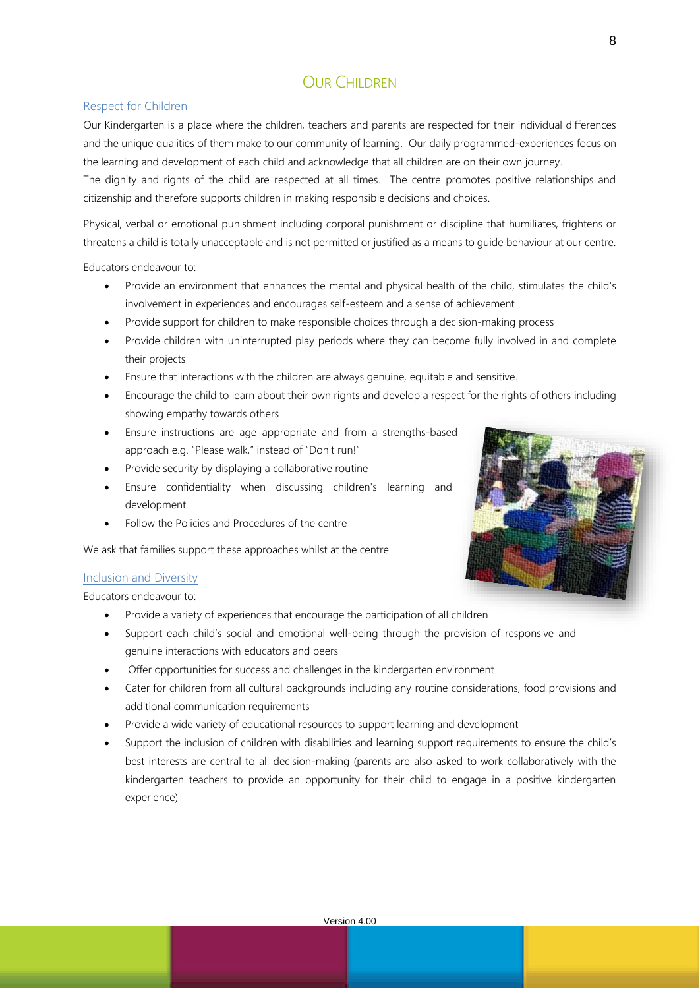# OUR CHILDREN

## Respect for Children

Our Kindergarten is a place where the children, teachers and parents are respected for their individual differences and the unique qualities of them make to our community of learning. Our daily programmed-experiences focus on the learning and development of each child and acknowledge that all children are on their own journey.

The dignity and rights of the child are respected at all times. The centre promotes positive relationships and citizenship and therefore supports children in making responsible decisions and choices.

Physical, verbal or emotional punishment including corporal punishment or discipline that humiliates, frightens or threatens a child is totally unacceptable and is not permitted or justified as a means to guide behaviour at our centre.

Educators endeavour to:

- Provide an environment that enhances the mental and physical health of the child, stimulates the child's involvement in experiences and encourages self-esteem and a sense of achievement
- Provide support for children to make responsible choices through a decision-making process
- Provide children with uninterrupted play periods where they can become fully involved in and complete their projects
- Ensure that interactions with the children are always genuine, equitable and sensitive.
- Encourage the child to learn about their own rights and develop a respect for the rights of others including showing empathy towards others
- Ensure instructions are age appropriate and from a strengths-based approach e.g. "Please walk," instead of "Don't run!"
- Provide security by displaying a collaborative routine
- Ensure confidentiality when discussing children's learning and development
- Follow the Policies and Procedures of the centre

We ask that families support these approaches whilst at the centre.

## Inclusion and Diversity

Educators endeavour to:

- Provide a variety of experiences that encourage the participation of all children
- Support each child's social and emotional well-being through the provision of responsive and genuine interactions with educators and peers
- Offer opportunities for success and challenges in the kindergarten environment
- Cater for children from all cultural backgrounds including any routine considerations, food provisions and additional communication requirements
- Provide a wide variety of educational resources to support learning and development
- Support the inclusion of children with disabilities and learning support requirements to ensure the child's best interests are central to all decision-making (parents are also asked to work collaboratively with the kindergarten teachers to provide an opportunity for their child to engage in a positive kindergarten experience)

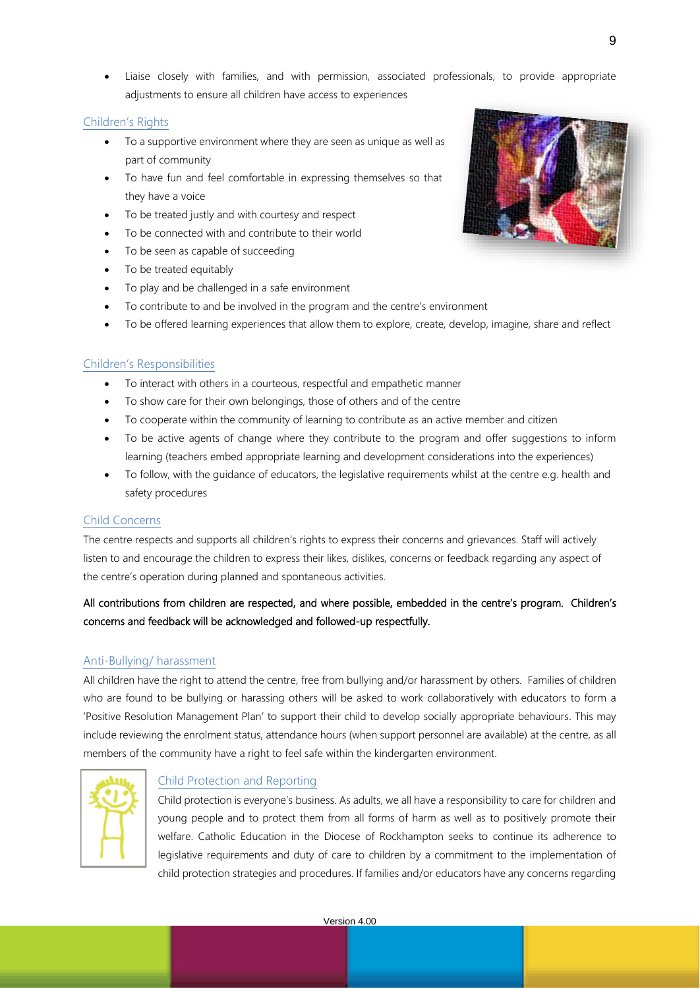• Liaise closely with families, and with permission, associated professionals, to provide appropriate adjustments to ensure all children have access to experiences

## Children's Rights

- To a supportive environment where they are seen as unique as well as part of community
- To have fun and feel comfortable in expressing themselves so that they have a voice
- To be treated justly and with courtesy and respect
- To be connected with and contribute to their world
- To be seen as capable of succeeding
- To be treated equitably
- To play and be challenged in a safe environment
- To contribute to and be involved in the program and the centre's environment
- To be offered learning experiences that allow them to explore, create, develop, imagine, share and reflect

## Children's Responsibilities

- To interact with others in a courteous, respectful and empathetic manner
- To show care for their own belongings, those of others and of the centre
- To cooperate within the community of learning to contribute as an active member and citizen
- To be active agents of change where they contribute to the program and offer suggestions to inform learning (teachers embed appropriate learning and development considerations into the experiences)
- To follow, with the guidance of educators, the legislative requirements whilst at the centre e.g. health and safety procedures

### Child Concerns

The centre respects and supports all children's rights to express their concerns and grievances. Staff will actively listen to and encourage the children to express their likes, dislikes, concerns or feedback regarding any aspect of the centre's operation during planned and spontaneous activities.

## All contributions from children are respected, and where possible, embedded in the centre's program. Children's concerns and feedback will be acknowledged and followed-up respectfully.

## Anti-Bullying/ harassment

All children have the right to attend the centre, free from bullying and/or harassment by others. Families of children who are found to be bullying or harassing others will be asked to work collaboratively with educators to form a 'Positive Resolution Management Plan' to support their child to develop socially appropriate behaviours. This may include reviewing the enrolment status, attendance hours (when support personnel are available) at the centre, as all members of the community have a right to feel safe within the kindergarten environment.



### Child Protection and Reporting

Child protection is everyone's business. As adults, we all have a responsibility to care for children and young people and to protect them from all forms of harm as well as to positively promote their welfare. Catholic Education in the Diocese of Rockhampton seeks to continue its adherence to legislative requirements and duty of care to children by a commitment to the implementation of child protection strategies and procedures. If families and/or educators have any concerns regarding

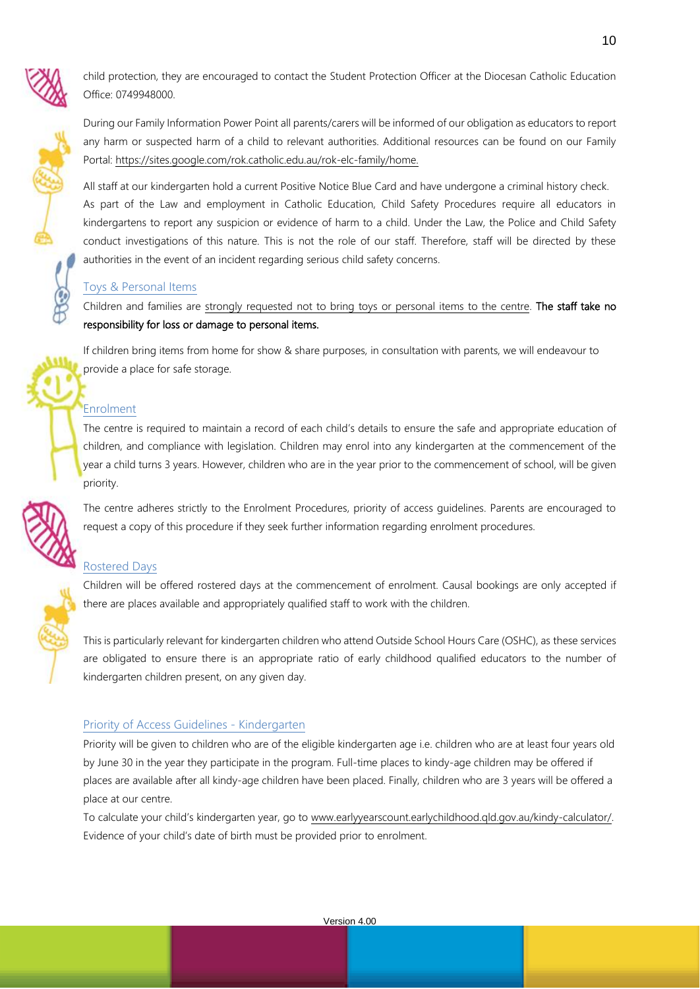child protection, they are encouraged to contact the Student Protection Officer at the Diocesan Catholic Education Office: 0749948000.

During our Family Information Power Point all parents/carers will be informed of our obligation as educators to report any harm or suspected harm of a child to relevant authorities. Additional resources can be found on our Family Portal: [https://sites.google.com/rok.catholic.edu.au/rok-elc-family/home.](https://sites.google.com/rok.catholic.edu.au/rok-elc-family/home)

All staff at our kindergarten hold a current Positive Notice Blue Card and have undergone a criminal history check. As part of the Law and employment in Catholic Education, Child Safety Procedures require all educators in kindergartens to report any suspicion or evidence of harm to a child. Under the Law, the Police and Child Safety conduct investigations of this nature. This is not the role of our staff. Therefore, staff will be directed by these authorities in the event of an incident regarding serious child safety concerns.

## Toys & Personal Items

Children and families are strongly requested not to bring toys or personal items to the centre. The staff take no responsibility for loss or damage to personal items.

If children bring items from home for show & share purposes, in consultation with parents, we will endeavour to provide a place for safe storage.

## Enrolment

The centre is required to maintain a record of each child's details to ensure the safe and appropriate education of children, and compliance with legislation. Children may enrol into any kindergarten at the commencement of the year a child turns 3 years. However, children who are in the year prior to the commencement of school, will be given priority.

The centre adheres strictly to the Enrolment Procedures, priority of access guidelines. Parents are encouraged to request a copy of this procedure if they seek further information regarding enrolment procedures.

## Rostered Days

Children will be offered rostered days at the commencement of enrolment. Causal bookings are only accepted if there are places available and appropriately qualified staff to work with the children.

This is particularly relevant for kindergarten children who attend Outside School Hours Care (OSHC), as these services are obligated to ensure there is an appropriate ratio of early childhood qualified educators to the number of kindergarten children present, on any given day.

## Priority of Access Guidelines - Kindergarten

Priority will be given to children who are of the eligible kindergarten age i.e. children who are at least four years old by June 30 in the year they participate in the program. Full-time places to kindy-age children may be offered if places are available after all kindy-age children have been placed. Finally, children who are 3 years will be offered a place at our centre.

To calculate your child's kindergarten year, go to [www.earlyyearscount.earlychildhood.qld.gov.au/kindy-calculator/.](http://www.earlyyearscount.earlychildhood.qld.gov.au/kindy-calculator/)  Evidence of your child's date of birth must be provided prior to enrolment.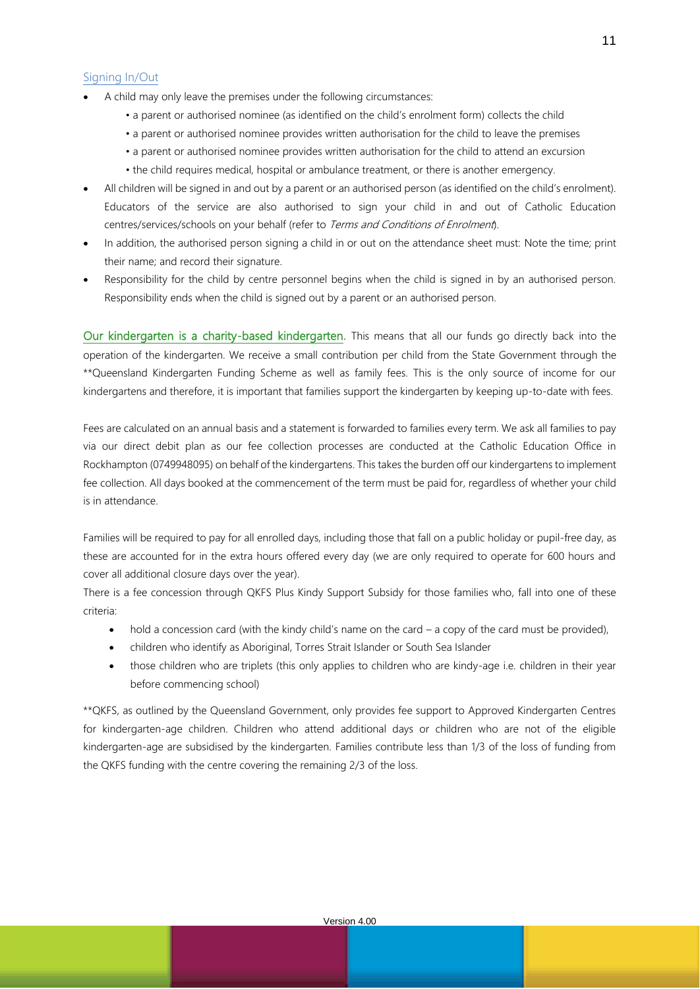### Signing In/Out

- A child may only leave the premises under the following circumstances:
	- a parent or authorised nominee (as identified on the child's enrolment form) collects the child
	- a parent or authorised nominee provides written authorisation for the child to leave the premises
	- a parent or authorised nominee provides written authorisation for the child to attend an excursion
	- the child requires medical, hospital or ambulance treatment, or there is another emergency.
- All children will be signed in and out by a parent or an authorised person (as identified on the child's enrolment). Educators of the service are also authorised to sign your child in and out of Catholic Education centres/services/schools on your behalf (refer to Terms and Conditions of Enrolment).
- In addition, the authorised person signing a child in or out on the attendance sheet must: Note the time; print their name; and record their signature.
- Responsibility for the child by centre personnel begins when the child is signed in by an authorised person. Responsibility ends when the child is signed out by a parent or an authorised person.

Our kindergarten is a charity-based kindergarten. This means that all our funds go directly back into the operation of the kindergarten. We receive a small contribution per child from the State Government through the \*\*Queensland Kindergarten Funding Scheme as well as family fees. This is the only source of income for our kindergartens and therefore, it is important that families support the kindergarten by keeping up-to-date with fees.

Fees are calculated on an annual basis and a statement is forwarded to families every term. We ask all families to pay via our direct debit plan as our fee collection processes are conducted at the Catholic Education Office in Rockhampton (0749948095) on behalf of the kindergartens. This takes the burden off our kindergartens to implement fee collection. All days booked at the commencement of the term must be paid for, regardless of whether your child is in attendance.

Families will be required to pay for all enrolled days, including those that fall on a public holiday or pupil-free day, as these are accounted for in the extra hours offered every day (we are only required to operate for 600 hours and cover all additional closure days over the year).

There is a fee concession through QKFS Plus Kindy Support Subsidy for those families who, fall into one of these criteria:

- hold a concession card (with the kindy child's name on the card a copy of the card must be provided),
- children who identify as Aboriginal, Torres Strait Islander or South Sea Islander
- those children who are triplets (this only applies to children who are kindy-age i.e. children in their year before commencing school)

\*\*QKFS, as outlined by the Queensland Government, only provides fee support to Approved Kindergarten Centres for kindergarten-age children. Children who attend additional days or children who are not of the eligible kindergarten-age are subsidised by the kindergarten. Families contribute less than 1/3 of the loss of funding from the QKFS funding with the centre covering the remaining 2/3 of the loss.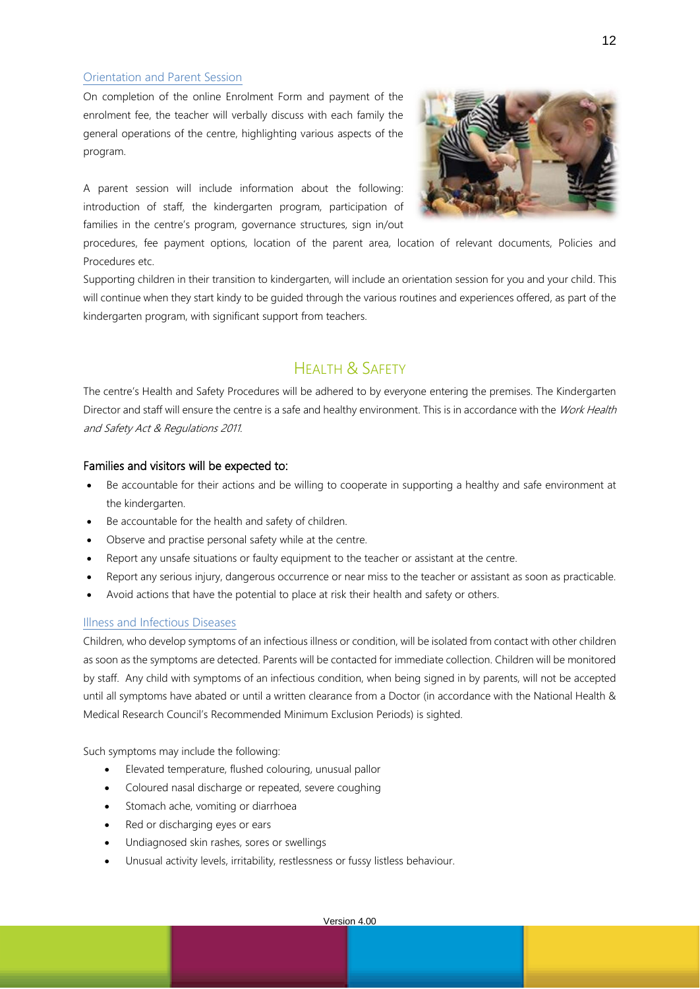### Orientation and Parent Session

On completion of the online Enrolment Form and payment of the enrolment fee, the teacher will verbally discuss with each family the general operations of the centre, highlighting various aspects of the program.

A parent session will include information about the following: introduction of staff, the kindergarten program, participation of families in the centre's program, governance structures, sign in/out



procedures, fee payment options, location of the parent area, location of relevant documents, Policies and Procedures etc.

Supporting children in their transition to kindergarten, will include an orientation session for you and your child. This will continue when they start kindy to be guided through the various routines and experiences offered, as part of the kindergarten program, with significant support from teachers.

# HEALTH & SAFFTY

The centre's Health and Safety Procedures will be adhered to by everyone entering the premises. The Kindergarten Director and staff will ensure the centre is a safe and healthy environment. This is in accordance with the Work Health and Safety Act & Regulations 2011.

### Families and visitors will be expected to:

- Be accountable for their actions and be willing to cooperate in supporting a healthy and safe environment at the kindergarten.
- Be accountable for the health and safety of children.
- Observe and practise personal safety while at the centre.
- Report any unsafe situations or faulty equipment to the teacher or assistant at the centre.
- Report any serious injury, dangerous occurrence or near miss to the teacher or assistant as soon as practicable.
- Avoid actions that have the potential to place at risk their health and safety or others.

### Illness and Infectious Diseases

Children, who develop symptoms of an infectious illness or condition, will be isolated from contact with other children as soon as the symptoms are detected. Parents will be contacted for immediate collection. Children will be monitored by staff. Any child with symptoms of an infectious condition, when being signed in by parents, will not be accepted until all symptoms have abated or until a written clearance from a Doctor (in accordance with the National Health & Medical Research Council's Recommended Minimum Exclusion Periods) is sighted.

Such symptoms may include the following:

- Elevated temperature, flushed colouring, unusual pallor
- Coloured nasal discharge or repeated, severe coughing
- Stomach ache, vomiting or diarrhoea
- Red or discharging eyes or ears
- Undiagnosed skin rashes, sores or swellings
- Unusual activity levels, irritability, restlessness or fussy listless behaviour.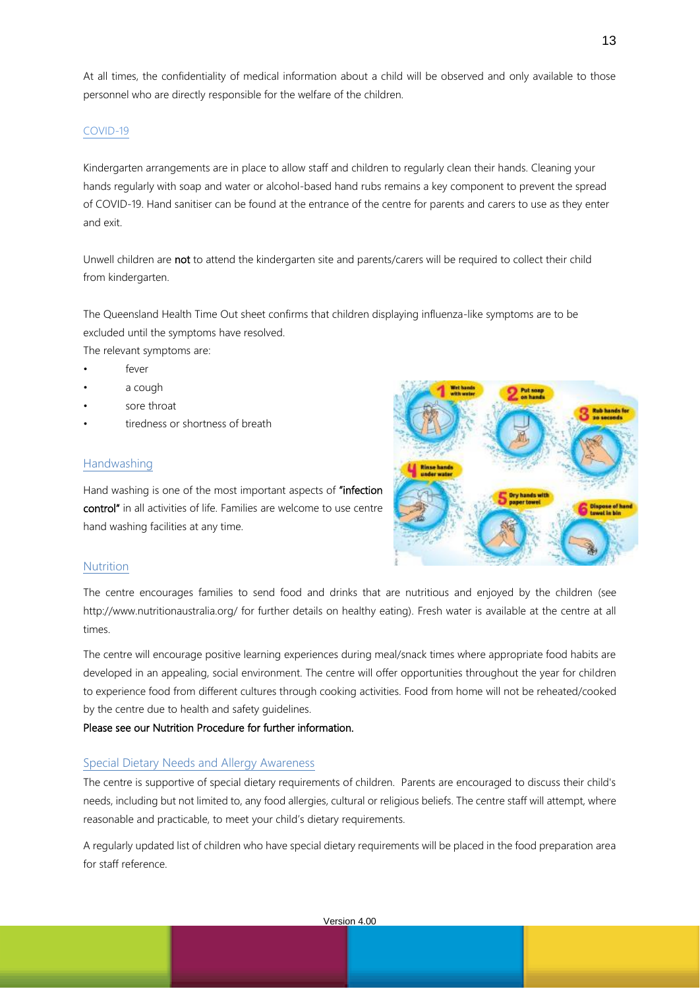At all times, the confidentiality of medical information about a child will be observed and only available to those personnel who are directly responsible for the welfare of the children.

#### COVID-19

Kindergarten arrangements are in place to allow staff and children to regularly clean their hands. Cleaning your hands regularly with soap and water or alcohol-based hand rubs remains a key component to prevent the spread of COVID-19. Hand sanitiser can be found at the entrance of the centre for parents and carers to use as they enter and exit.

Unwell children are not to attend the kindergarten site and parents/carers will be required to collect their child from kindergarten.

The Queensland Health Time Out sheet confirms that children displaying influenza-like symptoms are to be excluded until the symptoms have resolved.

The relevant symptoms are:

- fever
- a cough
- sore throat
- tiredness or shortness of breath

#### Handwashing

Hand washing is one of the most important aspects of "infection control" in all activities of life. Families are welcome to use centre hand washing facilities at any time.



#### **Nutrition**

The centre encourages families to send food and drinks that are nutritious and enjoyed by the children (see <http://www.nutritionaustralia.org/> for further details on healthy eating). Fresh water is available at the centre at all times.

The centre will encourage positive learning experiences during meal/snack times where appropriate food habits are developed in an appealing, social environment. The centre will offer opportunities throughout the year for children to experience food from different cultures through cooking activities. Food from home will not be reheated/cooked by the centre due to health and safety guidelines.

Please see our Nutrition Procedure for further information.

#### Special Dietary Needs and Allergy Awareness

The centre is supportive of special dietary requirements of children. Parents are encouraged to discuss their child's needs, including but not limited to, any food allergies, cultural or religious beliefs. The centre staff will attempt, where reasonable and practicable, to meet your child's dietary requirements.

A regularly updated list of children who have special dietary requirements will be placed in the food preparation area for staff reference.

13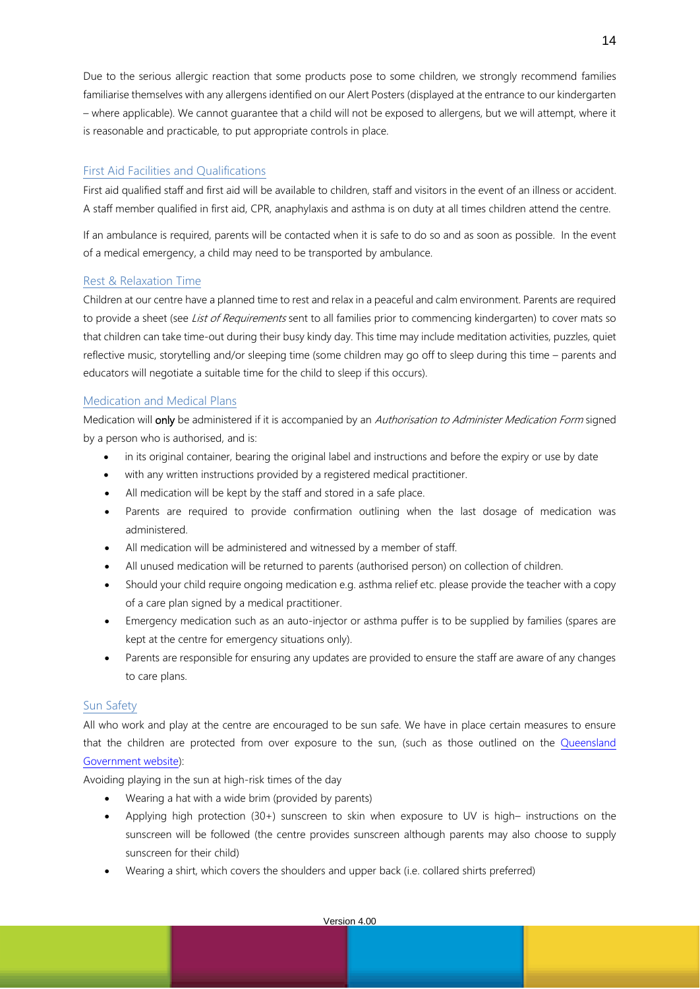Due to the serious allergic reaction that some products pose to some children, we strongly recommend families familiarise themselves with any allergens identified on our Alert Posters (displayed at the entrance to our kindergarten – where applicable). We cannot guarantee that a child will not be exposed to allergens, but we will attempt, where it is reasonable and practicable, to put appropriate controls in place.

## First Aid Facilities and Qualifications

First aid qualified staff and first aid will be available to children, staff and visitors in the event of an illness or accident. A staff member qualified in first aid, CPR, anaphylaxis and asthma is on duty at all times children attend the centre.

If an ambulance is required, parents will be contacted when it is safe to do so and as soon as possible. In the event of a medical emergency, a child may need to be transported by ambulance.

## Rest & Relaxation Time

Children at our centre have a planned time to rest and relax in a peaceful and calm environment. Parents are required to provide a sheet (see List of Requirements sent to all families prior to commencing kindergarten) to cover mats so that children can take time-out during their busy kindy day. This time may include meditation activities, puzzles, quiet reflective music, storytelling and/or sleeping time (some children may go off to sleep during this time – parents and educators will negotiate a suitable time for the child to sleep if this occurs).

## Medication and Medical Plans

Medication will only be administered if it is accompanied by an Authorisation to Administer Medication Form signed by a person who is authorised, and is:

- in its original container, bearing the original label and instructions and before the expiry or use by date
- with any written instructions provided by a registered medical practitioner.
- All medication will be kept by the staff and stored in a safe place.
- Parents are required to provide confirmation outlining when the last dosage of medication was administered.
- All medication will be administered and witnessed by a member of staff.
- All unused medication will be returned to parents (authorised person) on collection of children.
- Should your child require ongoing medication e.g. asthma relief etc. please provide the teacher with a copy of a care plan signed by a medical practitioner.
- Emergency medication such as an auto-injector or asthma puffer is to be supplied by families (spares are kept at the centre for emergency situations only).
- Parents are responsible for ensuring any updates are provided to ensure the staff are aware of any changes to care plans.

## Sun Safety

All who work and play at the centre are encouraged to be sun safe. We have in place certain measures to ensure that the children are protected from over exposure to the sun, (such as those outlined on the [Queensland](https://www.qld.gov.au/health/staying-healthy/environmental/sun/how)  [Government website\)](https://www.qld.gov.au/health/staying-healthy/environmental/sun/how):

Avoiding playing in the sun at high-risk times of the day

- Wearing a hat with a wide brim (provided by parents)
- Applying high protection (30+) sunscreen to skin when exposure to UV is high– instructions on the sunscreen will be followed (the centre provides sunscreen although parents may also choose to supply sunscreen for their child)
- Wearing a shirt, which covers the shoulders and upper back (i.e. collared shirts preferred)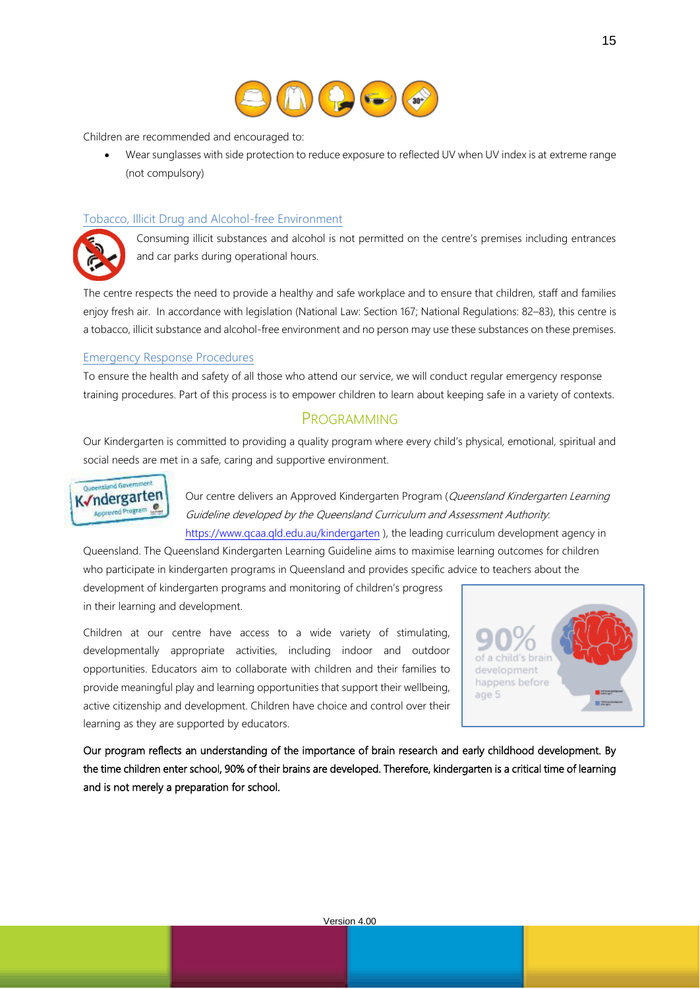

Children are recommended and encouraged to:

• Wear sunglasses with side protection to reduce exposure to reflected UV when UV index is at extreme range (not compulsory)

### Tobacco, Illicit Drug and Alcohol-free Environment



Consuming illicit substances and alcohol is not permitted on the centre's premises including entrances and car parks during operational hours.

The centre respects the need to provide a healthy and safe workplace and to ensure that children, staff and families enjoy fresh air. In accordance with legislation (National Law: Section 167; National Regulations: 82–83), this centre is a tobacco, illicit substance and alcohol-free environment and no person may use these substances on these premises.

### Emergency Response Procedures

To ensure the health and safety of all those who attend our service, we will conduct regular emergency response training procedures. Part of this process is to empower children to learn about keeping safe in a variety of contexts.

## PROGRAMMING

Our Kindergarten is committed to providing a quality program where every child's physical, emotional, spiritual and social needs are met in a safe, caring and supportive environment.



Our centre delivers an Approved Kindergarten Program (Queensland Kindergarten Learning Guideline developed by the Queensland Curriculum and Assessment Authority: <https://www.qcaa.qld.edu.au/kindergarten> ), the leading curriculum development agency in

Queensland. The Queensland Kindergarten Learning Guideline aims to maximise learning outcomes for children who participate in kindergarten programs in Queensland and provides specific advice to teachers about the development of kindergarten programs and monitoring of children's progress in their learning and development.

Children at our centre have access to a wide variety of stimulating, developmentally appropriate activities, including indoor and outdoor opportunities. Educators aim to collaborate with children and their families to provide meaningful play and learning opportunities that support their wellbeing, active citizenship and development. Children have choice and control over their learning as they are supported by educators.



Our program reflects an understanding of the importance of brain research and early childhood development. By the time children enter school, 90% of their brains are developed. Therefore, kindergarten is a critical time of learning and is not merely a preparation for school.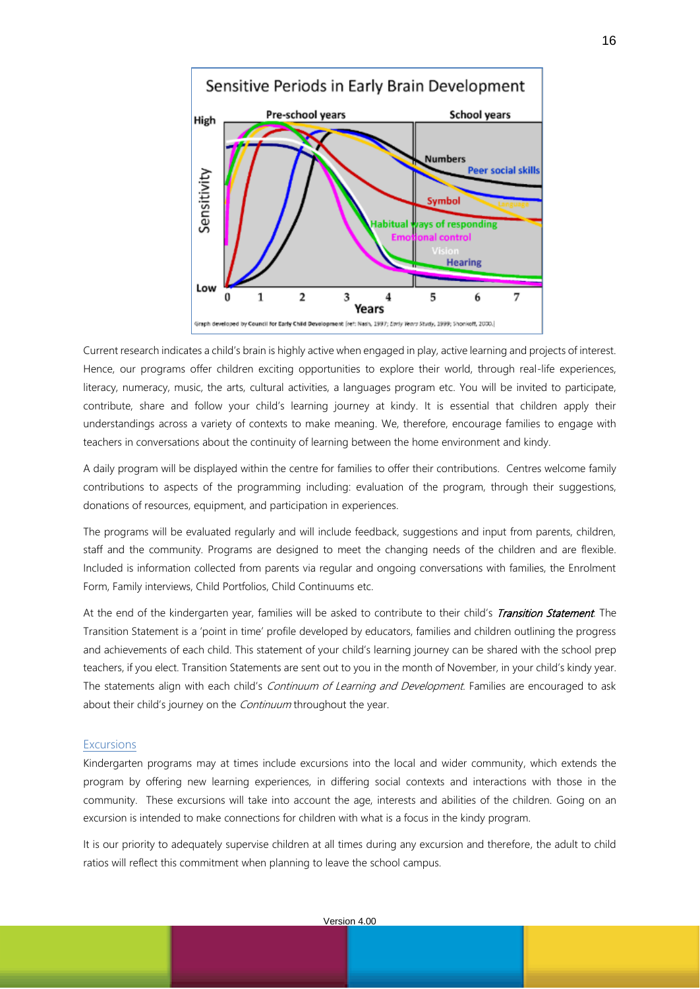

Current research indicates a child's brain is highly active when engaged in play, active learning and projects of interest. Hence, our programs offer children exciting opportunities to explore their world, through real-life experiences, literacy, numeracy, music, the arts, cultural activities, a languages program etc. You will be invited to participate, contribute, share and follow your child's learning journey at kindy. It is essential that children apply their understandings across a variety of contexts to make meaning. We, therefore, encourage families to engage with teachers in conversations about the continuity of learning between the home environment and kindy.

A daily program will be displayed within the centre for families to offer their contributions. Centres welcome family contributions to aspects of the programming including: evaluation of the program, through their suggestions, donations of resources, equipment, and participation in experiences.

The programs will be evaluated regularly and will include feedback, suggestions and input from parents, children, staff and the community. Programs are designed to meet the changing needs of the children and are flexible. Included is information collected from parents via regular and ongoing conversations with families, the Enrolment Form, Family interviews, Child Portfolios, Child Continuums etc.

At the end of the kindergarten year, families will be asked to contribute to their child's Transition Statement. The Transition Statement is a 'point in time' profile developed by educators, families and children outlining the progress and achievements of each child. This statement of your child's learning journey can be shared with the school prep teachers, if you elect. Transition Statements are sent out to you in the month of November, in your child's kindy year. The statements align with each child's Continuum of Learning and Development. Families are encouraged to ask about their child's journey on the *Continuum* throughout the year.

#### **Excursions**

Kindergarten programs may at times include excursions into the local and wider community, which extends the program by offering new learning experiences, in differing social contexts and interactions with those in the community. These excursions will take into account the age, interests and abilities of the children. Going on an excursion is intended to make connections for children with what is a focus in the kindy program.

It is our priority to adequately supervise children at all times during any excursion and therefore, the adult to child ratios will reflect this commitment when planning to leave the school campus.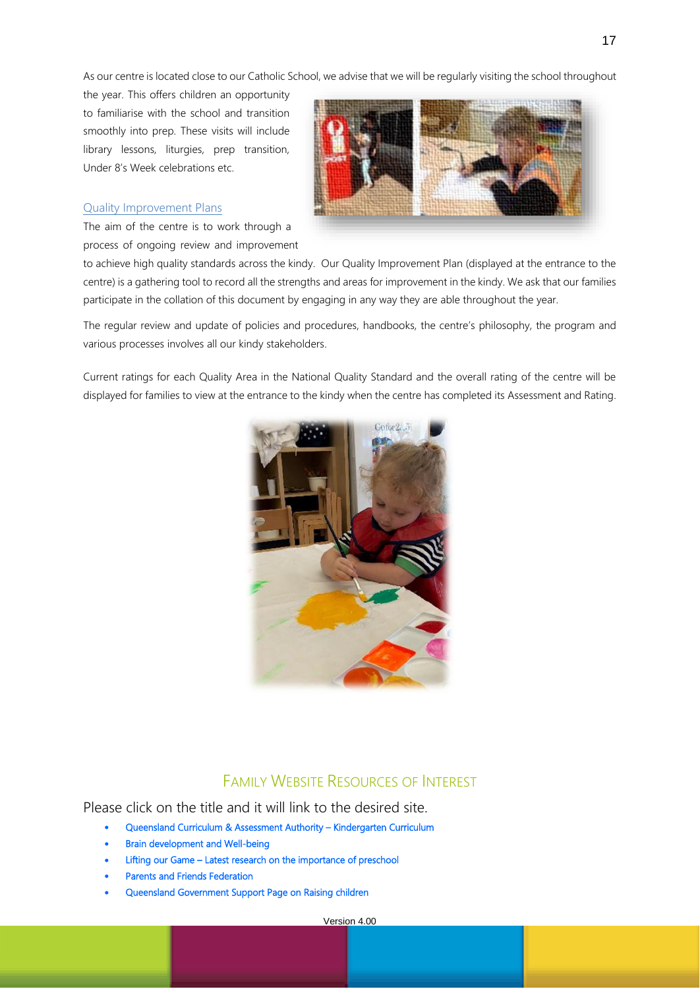As our centre is located close to our Catholic School, we advise that we will be regularly visiting the school throughout

the year. This offers children an opportunity to familiarise with the school and transition smoothly into prep. These visits will include library lessons, liturgies, prep transition, Under 8's Week celebrations etc.



### Quality Improvement Plans

The aim of the centre is to work through a process of ongoing review and improvement

to achieve high quality standards across the kindy. Our Quality Improvement Plan (displayed at the entrance to the centre) is a gathering tool to record all the strengths and areas for improvement in the kindy. We ask that our families participate in the collation of this document by engaging in any way they are able throughout the year.

The regular review and update of policies and procedures, handbooks, the centre's philosophy, the program and various processes involves all our kindy stakeholders.

Current ratings for each Quality Area in the National Quality Standard and the overall rating of the centre will be displayed for families to view at the entrance to the kindy when the centre has completed its Assessment and Rating.



## FAMILY WEBSITE RESOURCES OF INTEREST

Please click on the title and it will link to the desired site.

- [Queensland Curriculum & Assessment Authority](http://www.qcaa.qld.edu.au/kindergarten)  Kindergarten Curriculum
- [Brain development and Well-being](http://www.kidsmatter.edu.au/sites/default/files/public/KidsMatter-Early-Childhood-neurodevelopment-web.pdf)
- Lifting our Game Latest research on the importance of preschool
- Parents and Friends Federation
- [Queensland Government Support Page on Raising children](http://www.qld.gov.au/families/babies/advice/pages/resources.html)